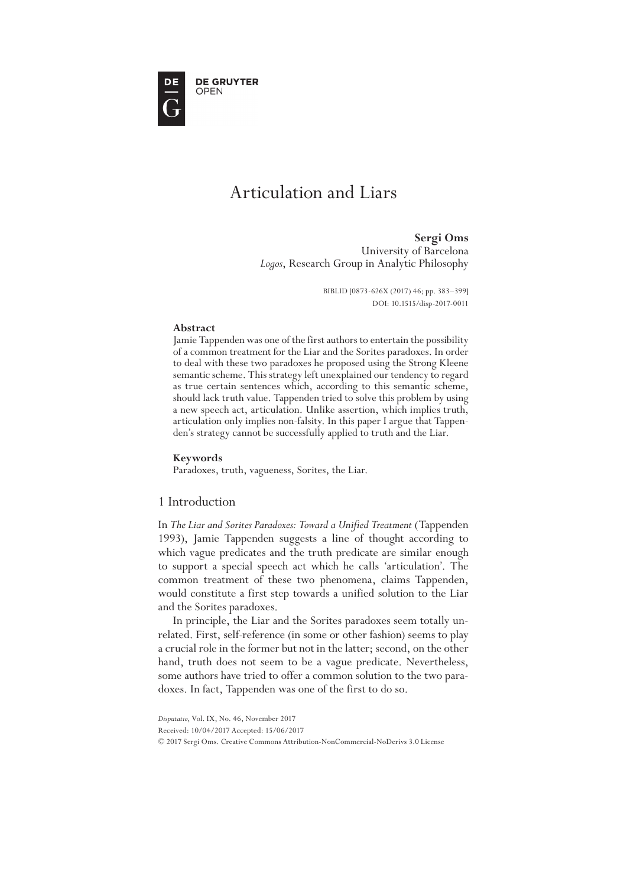**DE GRUYTER** OPEN

# Articulation and Liars

**Sergi Oms** University of Barcelona *Logos*, Research Group in Analytic Philosophy

> BIBLID [0873-626X (2017) 46; pp. 383–399] DOI: 10.1515/disp-2017-0011

### **Abstract**

Jamie Tappenden was one of the first authors to entertain the possibility of a common treatment for the Liar and the Sorites paradoxes. In order to deal with these two paradoxes he proposed using the Strong Kleene semantic scheme. This strategy left unexplained our tendency to regard as true certain sentences which, according to this semantic scheme, should lack truth value. Tappenden tried to solve this problem by using a new speech act, articulation. Unlike assertion, which implies truth, articulation only implies non-falsity. In this paper I argue that Tappen- den's strategy cannot be successfully applied to truth and the Liar.

#### **Keywords**

Paradoxes, truth, vagueness, Sorites, the Liar.

# 1 Introduction

In *The Liar and Sorites Paradoxes: Toward a Unified Treatment* (Tappenden 1993), Jamie Tappenden suggests a line of thought according to which vague predicates and the truth predicate are similar enough to support a special speech act which he calls 'articulation'. The common treatment of these two phenomena, claims Tappenden, would constitute a first step towards a unified solution to the Liar and the Sorites paradoxes.

In principle, the Liar and the Sorites paradoxes seem totally unrelated. First, self-reference (in some or other fashion) seems to play a crucial role in the former but not in the latter; second, on the other hand, truth does not seem to be a vague predicate. Nevertheless, some authors have tried to offer a common solution to the two paradoxes. In fact, Tappenden was one of the first to do so.

- Received: 10/04/2017 Accepted: 15/06/2017
- © 2017 Sergi Oms. Creative Commons Attribution-NonCommercial-NoDerivs 3.0 License

*Disputatio*, Vol. IX, No. 46, November 2017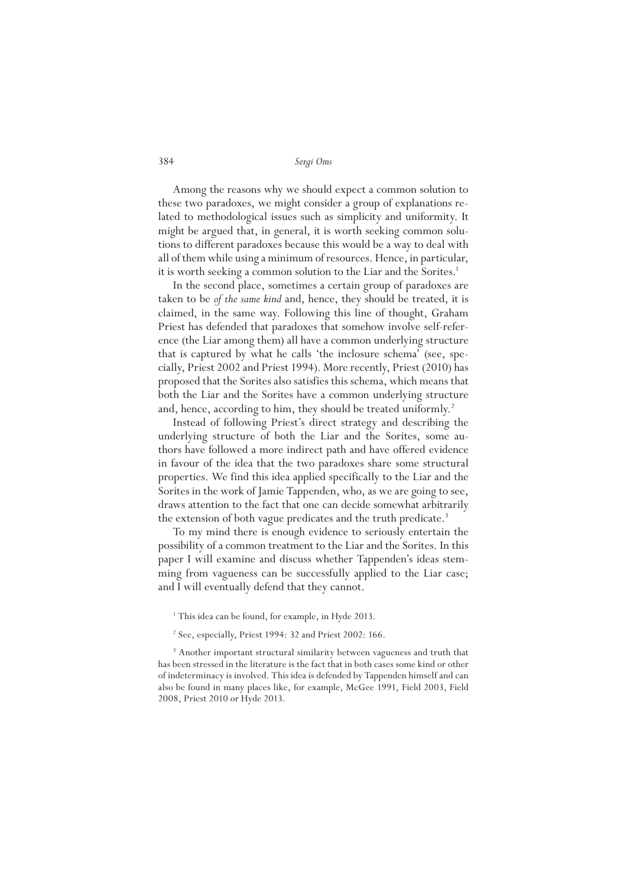Among the reasons why we should expect a common solution to these two paradoxes, we might consider a group of explanations related to methodological issues such as simplicity and uniformity. It might be argued that, in general, it is worth seeking common solutions to different paradoxes because this would be a way to deal with all of them while using a minimum of resources. Hence, in particular, it is worth seeking a common solution to the Liar and the Sorites.<sup>1</sup>

In the second place, sometimes a certain group of paradoxes are taken to be *of the same kind* and, hence, they should be treated, it is claimed, in the same way. Following this line of thought, Graham Priest has defended that paradoxes that somehow involve self-reference (the Liar among them) all have a common underlying structure that is captured by what he calls 'the inclosure schema' (see, specially, Priest 2002 and Priest 1994). More recently, Priest (2010) has proposed that the Sorites also satisfies this schema, which means that both the Liar and the Sorites have a common underlying structure and, hence, according to him, they should be treated uniformly.<sup>2</sup>

Instead of following Priest's direct strategy and describing the underlying structure of both the Liar and the Sorites, some authors have followed a more indirect path and have offered evidence in favour of the idea that the two paradoxes share some structural properties. We find this idea applied specifically to the Liar and the Sorites in the work of Jamie Tappenden, who, as we are going to see, draws attention to the fact that one can decide somewhat arbitrarily the extension of both vague predicates and the truth predicate.<sup>3</sup>

To my mind there is enough evidence to seriously entertain the possibility of a common treatment to the Liar and the Sorites. In this paper I will examine and discuss whether Tappenden's ideas stemming from vagueness can be successfully applied to the Liar case; and I will eventually defend that they cannot.

- <sup>1</sup> This idea can be found, for example, in Hyde 2013.
- <sup>2</sup> See, especially, Priest 1994: 32 and Priest 2002: 166.

<sup>3</sup> Another important structural similarity between vagueness and truth that has been stressed in the literature is the fact that in both cases some kind or other of indeterminacy is involved. This idea is defended by Tappenden himself and can also be found in many places like, for example, McGee 1991, Field 2003, Field 2008, Priest 2010 or Hyde 2013.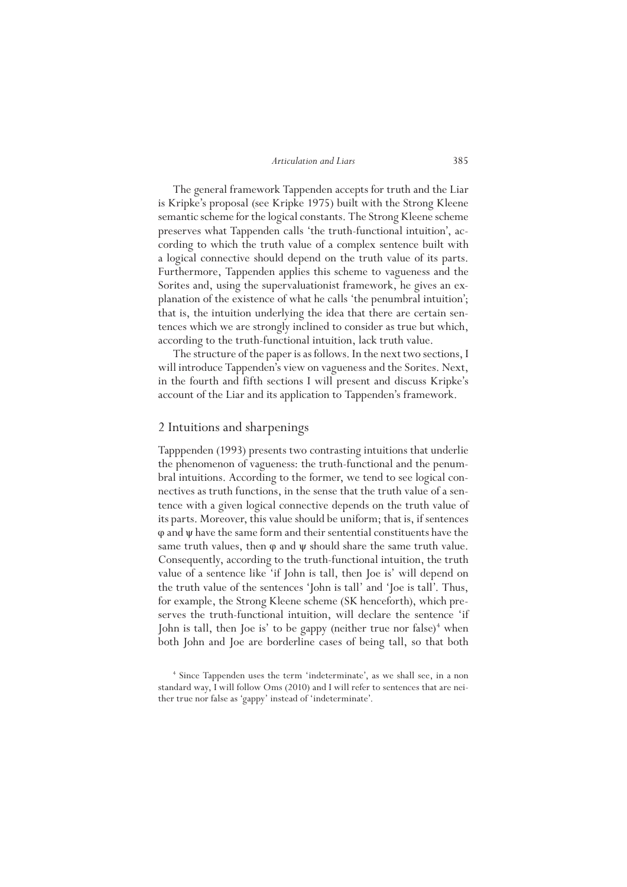The general framework Tappenden accepts for truth and the Liar is Kripke's proposal (see Kripke 1975) built with the Strong Kleene semantic scheme for the logical constants. The Strong Kleene scheme preserves what Tappenden calls 'the truth-functional intuition', according to which the truth value of a complex sentence built with a logical connective should depend on the truth value of its parts. Furthermore, Tappenden applies this scheme to vagueness and the Sorites and, using the supervaluationist framework, he gives an explanation of the existence of what he calls 'the penumbral intuition'; that is, the intuition underlying the idea that there are certain sentences which we are strongly inclined to consider as true but which, according to the truth-functional intuition, lack truth value.

The structure of the paper is as follows. In the next two sections, I will introduce Tappenden's view on vagueness and the Sorites. Next, in the fourth and fifth sections I will present and discuss Kripke's account of the Liar and its application to Tappenden's framework.

## 2 Intuitions and sharpenings

Tapppenden (1993) presents two contrasting intuitions that underlie the phenomenon of vagueness: the truth-functional and the penumbral intuitions. According to the former, we tend to see logical connectives as truth functions, in the sense that the truth value of a sentence with a given logical connective depends on the truth value of its parts. Moreover, this value should be uniform; that is, if sentences  $\varphi$  and  $\psi$  have the same form and their sentential constituents have the same truth values, then  $\varphi$  and  $\psi$  should share the same truth value. Consequently, according to the truth-functional intuition, the truth value of a sentence like 'if John is tall, then Joe is' will depend on the truth value of the sentences 'John is tall' and 'Joe is tall'. Thus, for example, the Strong Kleene scheme (SK henceforth), which preserves the truth-functional intuition, will declare the sentence 'if John is tall, then Joe is' to be gappy (neither true nor false)<sup>4</sup> when both John and Joe are borderline cases of being tall, so that both

<sup>4</sup> Since Tappenden uses the term 'indeterminate', as we shall see, in a non standard way, I will follow Oms (2010) and I will refer to sentences that are neither true nor false as 'gappy' instead of 'indeterminate'.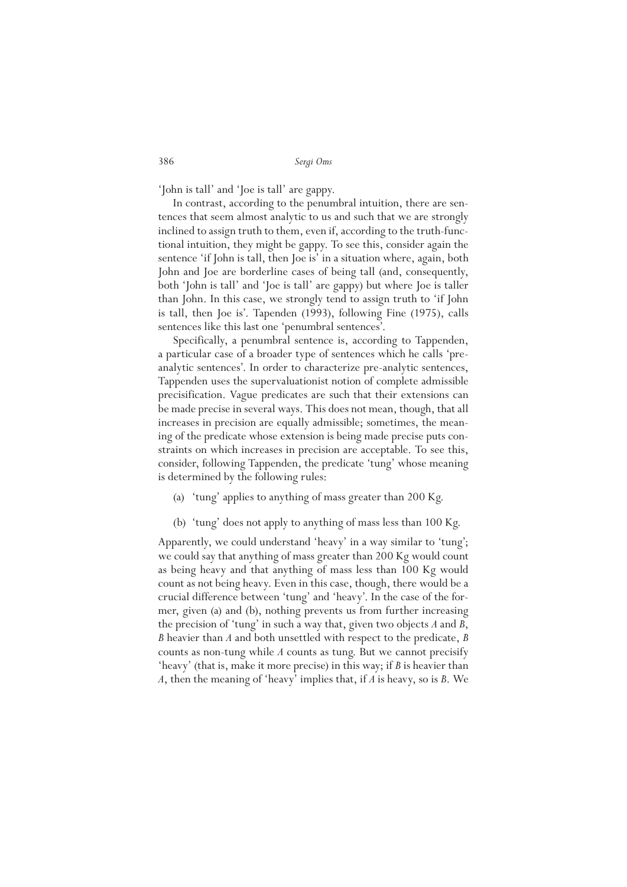'John is tall' and 'Joe is tall' are gappy.

In contrast, according to the penumbral intuition, there are sentences that seem almost analytic to us and such that we are strongly inclined to assign truth to them, even if, according to the truth-functional intuition, they might be gappy. To see this, consider again the sentence 'if John is tall, then Joe is' in a situation where, again, both John and Joe are borderline cases of being tall (and, consequently, both 'John is tall' and 'Joe is tall' are gappy) but where Joe is taller than John. In this case, we strongly tend to assign truth to 'if John is tall, then Joe is'. Tapenden (1993), following Fine (1975), calls sentences like this last one 'penumbral sentences'.

Specifically, a penumbral sentence is, according to Tappenden, a particular case of a broader type of sentences which he calls 'preanalytic sentences'. In order to characterize pre-analytic sentences, Tappenden uses the supervaluationist notion of complete admissible precisification. Vague predicates are such that their extensions can be made precise in several ways. This does not mean, though, that all increases in precision are equally admissible; sometimes, the meaning of the predicate whose extension is being made precise puts constraints on which increases in precision are acceptable. To see this, consider, following Tappenden, the predicate 'tung' whose meaning is determined by the following rules:

- (a) 'tung' applies to anything of mass greater than 200 Kg.
- (b) 'tung' does not apply to anything of mass less than 100 Kg.

Apparently, we could understand 'heavy' in a way similar to 'tung'; we could say that anything of mass greater than 200 Kg would count as being heavy and that anything of mass less than 100 Kg would count as not being heavy. Even in this case, though, there would be a crucial difference between 'tung' and 'heavy'. In the case of the former, given (a) and (b), nothing prevents us from further increasing the precision of 'tung' in such a way that, given two objects *A* and *B*, *B* heavier than *A* and both unsettled with respect to the predicate, *B* counts as non-tung while *A* counts as tung. But we cannot precisify 'heavy' (that is, make it more precise) in this way; if *B* is heavier than *A*, then the meaning of 'heavy' implies that, if *A* is heavy, so is *B*. We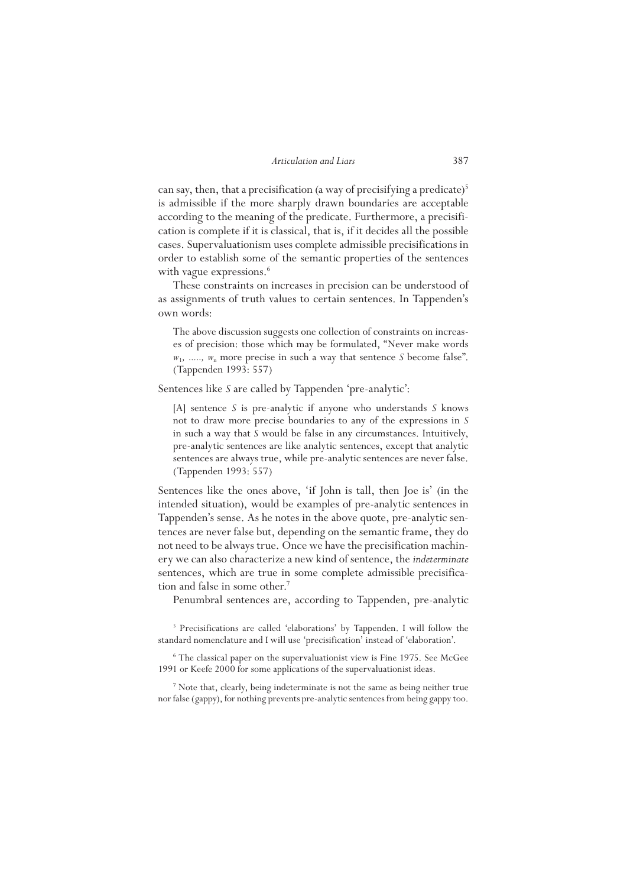can say, then, that a precisification (a way of precisifying a predicate)<sup>5</sup> is admissible if the more sharply drawn boundaries are acceptable according to the meaning of the predicate. Furthermore, a precisification is complete if it is classical, that is, if it decides all the possible cases. Supervaluationism uses complete admissible precisifications in order to establish some of the semantic properties of the sentences with vague expressions.<sup>6</sup>

These constraints on increases in precision can be understood of as assignments of truth values to certain sentences. In Tappenden's own words:

The above discussion suggests one collection of constraints on increases of precision: those which may be formulated, "Never make words  $w_1$ , ....,  $w_n$  more precise in such a way that sentence *S* become false". (Tappenden 1993: 557)

Sentences like *S* are called by Tappenden 'pre-analytic':

[A] sentence *S* is pre-analytic if anyone who understands *S* knows not to draw more precise boundaries to any of the expressions in *S* in such a way that *S* would be false in any circumstances. Intuitively, pre-analytic sentences are like analytic sentences, except that analytic sentences are always true, while pre-analytic sentences are never false. (Tappenden 1993: 557)

Sentences like the ones above, 'if John is tall, then Joe is' (in the intended situation), would be examples of pre-analytic sentences in Tappenden's sense. As he notes in the above quote, pre-analytic sentences are never false but, depending on the semantic frame, they do not need to be always true. Once we have the precisification machinery we can also characterize a new kind of sentence, the *indeterminate* sentences, which are true in some complete admissible precisification and false in some other.<sup>7</sup>

Penumbral sentences are, according to Tappenden, pre-analytic

5 Precisifications are called 'elaborations' by Tappenden. I will follow the standard nomenclature and I will use 'precisification' instead of 'elaboration'.

<sup>6</sup> The classical paper on the supervaluationist view is Fine 1975. See McGee 1991 or Keefe 2000 for some applications of the supervaluationist ideas.

<sup>7</sup> Note that, clearly, being indeterminate is not the same as being neither true nor false (gappy), for nothing prevents pre-analytic sentences from being gappy too.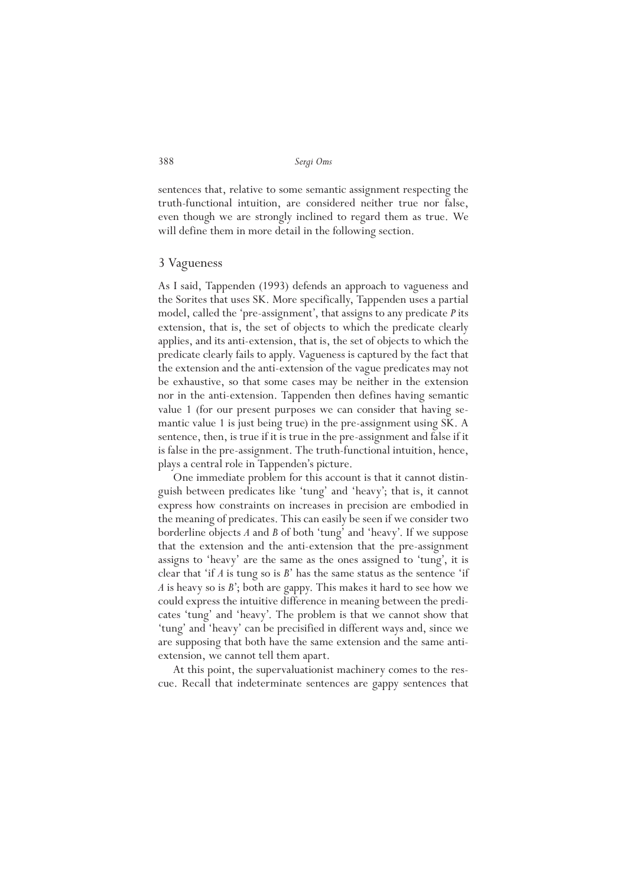sentences that, relative to some semantic assignment respecting the truth-functional intuition, are considered neither true nor false, even though we are strongly inclined to regard them as true. We will define them in more detail in the following section.

## 3 Vagueness

As I said, Tappenden (1993) defends an approach to vagueness and the Sorites that uses SK. More specifically, Tappenden uses a partial model, called the 'pre-assignment', that assigns to any predicate *P* its extension, that is, the set of objects to which the predicate clearly applies, and its anti-extension, that is, the set of objects to which the predicate clearly fails to apply. Vagueness is captured by the fact that the extension and the anti-extension of the vague predicates may not be exhaustive, so that some cases may be neither in the extension nor in the anti-extension. Tappenden then defines having semantic value 1 (for our present purposes we can consider that having semantic value 1 is just being true) in the pre-assignment using SK. A sentence, then, is true if it is true in the pre-assignment and false if it is false in the pre-assignment. The truth-functional intuition, hence, plays a central role in Tappenden's picture.

One immediate problem for this account is that it cannot distinguish between predicates like 'tung' and 'heavy'; that is, it cannot express how constraints on increases in precision are embodied in the meaning of predicates. This can easily be seen if we consider two borderline objects *A* and *B* of both 'tung' and 'heavy'. If we suppose that the extension and the anti-extension that the pre-assignment assigns to 'heavy' are the same as the ones assigned to 'tung', it is clear that 'if *A* is tung so is *B*' has the same status as the sentence 'if *A* is heavy so is *B*'; both are gappy. This makes it hard to see how we could express the intuitive difference in meaning between the predicates 'tung' and 'heavy'. The problem is that we cannot show that 'tung' and 'heavy' can be precisified in different ways and, since we are supposing that both have the same extension and the same antiextension, we cannot tell them apart.

At this point, the supervaluationist machinery comes to the rescue. Recall that indeterminate sentences are gappy sentences that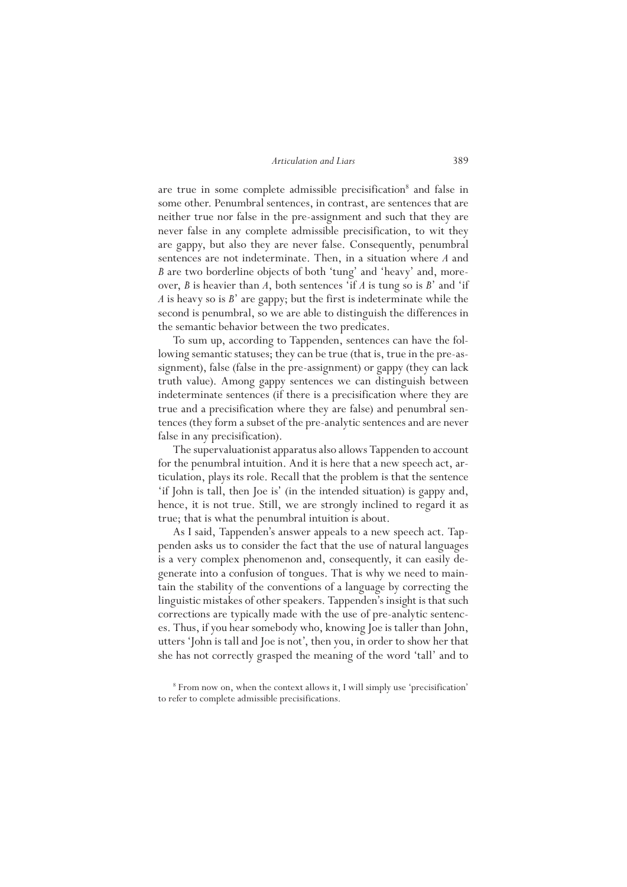are true in some complete admissible precisification<sup>8</sup> and false in some other. Penumbral sentences, in contrast, are sentences that are neither true nor false in the pre-assignment and such that they are never false in any complete admissible precisification, to wit they are gappy, but also they are never false. Consequently, penumbral sentences are not indeterminate. Then, in a situation where *A* and *B* are two borderline objects of both 'tung' and 'heavy' and, moreover, *B* is heavier than *A*, both sentences 'if *A* is tung so is *B*' and 'if *A* is heavy so is *B*' are gappy; but the first is indeterminate while the second is penumbral, so we are able to distinguish the differences in the semantic behavior between the two predicates.

To sum up, according to Tappenden, sentences can have the following semantic statuses; they can be true (that is, true in the pre-assignment), false (false in the pre-assignment) or gappy (they can lack truth value). Among gappy sentences we can distinguish between indeterminate sentences (if there is a precisification where they are true and a precisification where they are false) and penumbral sentences (they form a subset of the pre-analytic sentences and are never false in any precisification).

The supervaluationist apparatus also allows Tappenden to account for the penumbral intuition. And it is here that a new speech act, articulation, plays its role. Recall that the problem is that the sentence 'if John is tall, then Joe is' (in the intended situation) is gappy and, hence, it is not true. Still, we are strongly inclined to regard it as true; that is what the penumbral intuition is about.

As I said, Tappenden's answer appeals to a new speech act. Tappenden asks us to consider the fact that the use of natural languages is a very complex phenomenon and, consequently, it can easily degenerate into a confusion of tongues. That is why we need to maintain the stability of the conventions of a language by correcting the linguistic mistakes of other speakers. Tappenden's insight is that such corrections are typically made with the use of pre-analytic sentences. Thus, if you hear somebody who, knowing Joe is taller than John, utters 'John is tall and Joe is not', then you, in order to show her that she has not correctly grasped the meaning of the word 'tall' and to

<sup>8</sup> From now on, when the context allows it, I will simply use 'precisification' to refer to complete admissible precisifications.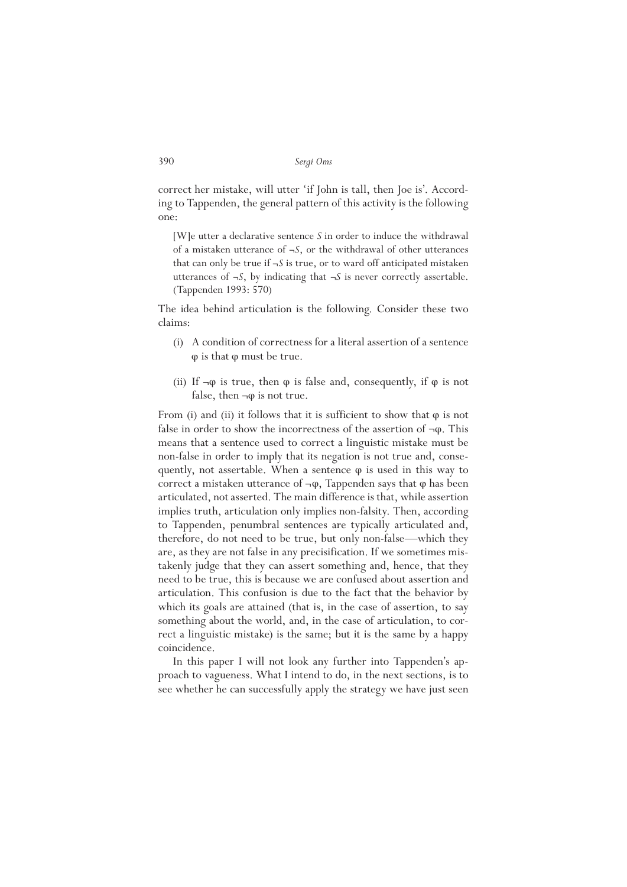correct her mistake, will utter 'if John is tall, then Joe is'. According to Tappenden, the general pattern of this activity is the following one:

[W]e utter a declarative sentence *S* in order to induce the withdrawal of a mistaken utterance of ¬*S*, or the withdrawal of other utterances that can only be true if ¬*S* is true, or to ward off anticipated mistaken utterances of ¬*S*, by indicating that ¬*S* is never correctly assertable. (Tappenden 1993: 570)

The idea behind articulation is the following. Consider these two claims:

- (i) A condition of correctness for a literal assertion of a sentence φ is that φ must be true.
- (ii) If  $\neg \varphi$  is true, then  $\varphi$  is false and, consequently, if  $\varphi$  is not false, then  $\neg \varphi$  is not true.

From (i) and (ii) it follows that it is sufficient to show that  $\varphi$  is not false in order to show the incorrectness of the assertion of  $\neg \varphi$ . This means that a sentence used to correct a linguistic mistake must be non-false in order to imply that its negation is not true and, consequently, not assertable. When a sentence  $\varphi$  is used in this way to correct a mistaken utterance of  $\neg \varphi$ , Tappenden says that  $\varphi$  has been articulated, not asserted. The main difference is that, while assertion implies truth, articulation only implies non-falsity. Then, according to Tappenden, penumbral sentences are typically articulated and, therefore, do not need to be true, but only non-false—which they are, as they are not false in any precisification. If we sometimes mistakenly judge that they can assert something and, hence, that they need to be true, this is because we are confused about assertion and articulation. This confusion is due to the fact that the behavior by which its goals are attained (that is, in the case of assertion, to say something about the world, and, in the case of articulation, to correct a linguistic mistake) is the same; but it is the same by a happy coincidence.

In this paper I will not look any further into Tappenden's approach to vagueness. What I intend to do, in the next sections, is to see whether he can successfully apply the strategy we have just seen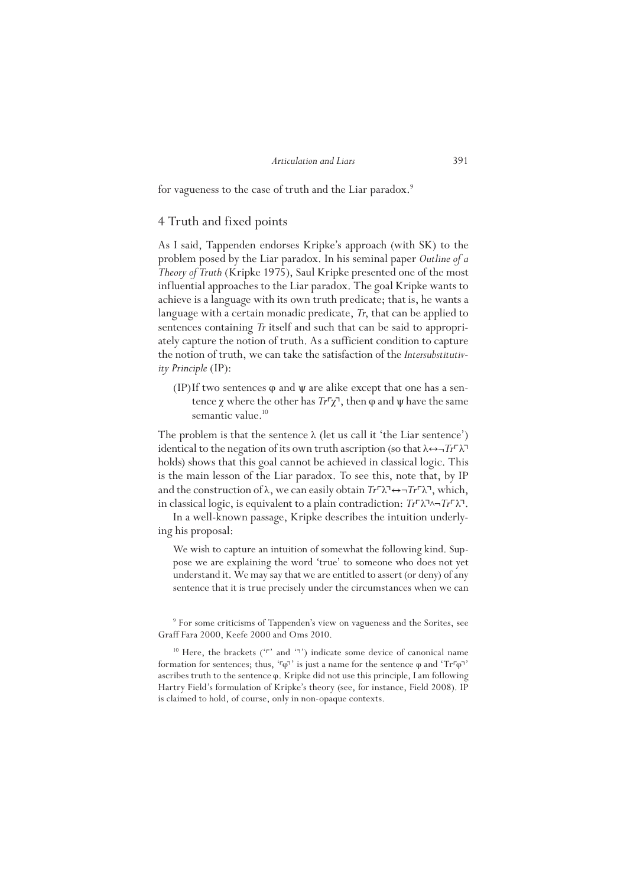for vagueness to the case of truth and the Liar paradox.<sup>9</sup>

## 4 Truth and fixed points

As I said, Tappenden endorses Kripke's approach (with SK) to the problem posed by the Liar paradox. In his seminal paper *Outline of a Theory of Truth* (Kripke 1975), Saul Kripke presented one of the most influential approaches to the Liar paradox. The goal Kripke wants to achieve is a language with its own truth predicate; that is, he wants a language with a certain monadic predicate, *Tr*, that can be applied to sentences containing *Tr* itself and such that can be said to appropriately capture the notion of truth. As a sufficient condition to capture the notion of truth, we can take the satisfaction of the *Intersubstitutivity Principle* (IP):

(IP)If two sentences  $\varphi$  and  $\psi$  are alike except that one has a sentence *χ* where the other has  $Tr<sup>Γ</sup>*χ*<sup>7</sup>$ , then φ and  $ψ$  have the same semantic value.<sup>10</sup>

The problem is that the sentence  $\lambda$  (let us call it 'the Liar sentence') identical to the negation of its own truth ascription (so that λ↔ ¬*Tr*Γλ<sup>→</sup> holds) shows that this goal cannot be achieved in classical logic. This is the main lesson of the Liar paradox. To see this, note that, by IP and the construction of λ, we can easily obtain *Tr*Γλ<sup>→</sup>→ $\neg$ *Tr*Γλ<sup>→</sup>, which, in classical logic, is equivalent to a plain contradiction: *Tr*⌜λ⌝∧¬*Tr*⌜λ⌝.

In a well-known passage, Kripke describes the intuition underlying his proposal:

We wish to capture an intuition of somewhat the following kind. Suppose we are explaining the word 'true' to someone who does not yet understand it. We may say that we are entitled to assert (or deny) of any sentence that it is true precisely under the circumstances when we can

<sup>9</sup> For some criticisms of Tappenden's view on vagueness and the Sorites, see Graff Fara 2000, Keefe 2000 and Oms 2010.

<sup>&</sup>lt;sup>10</sup> Here, the brackets ('r' and '<sup>-</sup>') indicate some device of canonical name formation for sentences; thus, ' $\lceil \varphi \rceil$ ' is just a name for the sentence  $\varphi$  and 'Tr $\lceil \varphi \rceil$ ' ascribes truth to the sentence φ. Kripke did not use this principle, I am following Hartry Field's formulation of Kripke's theory (see, for instance, Field 2008). IP is claimed to hold, of course, only in non-opaque contexts.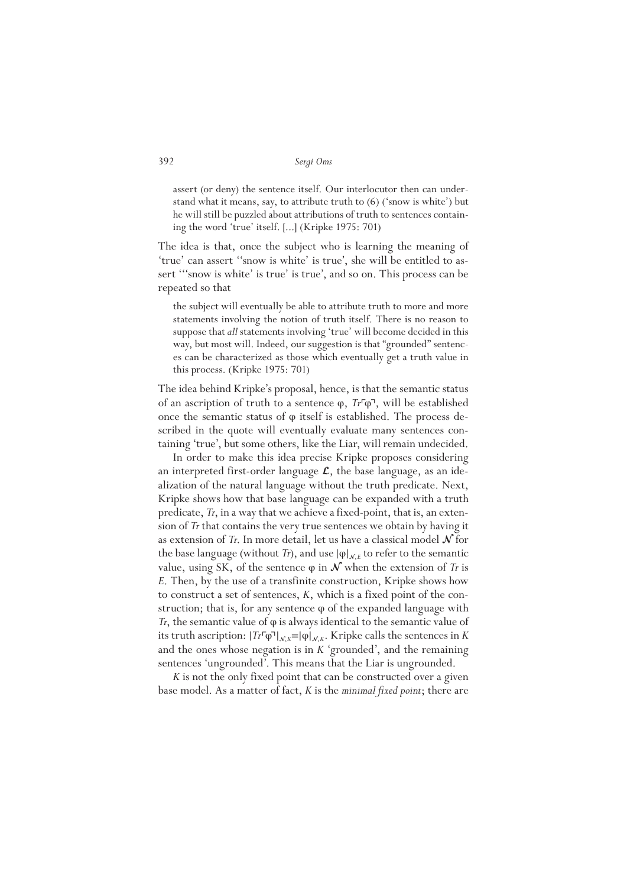assert (or deny) the sentence itself. Our interlocutor then can understand what it means, say, to attribute truth to (6) ('snow is white') but he will still be puzzled about attributions of truth to sentences containing the word 'true' itself. [...] (Kripke 1975: 701)

The idea is that, once the subject who is learning the meaning of 'true' can assert ''snow is white' is true', she will be entitled to assert "'snow is white' is true' is true', and so on. This process can be repeated so that

the subject will eventually be able to attribute truth to more and more statements involving the notion of truth itself. There is no reason to suppose that *all* statements involving 'true' will become decided in this way, but most will. Indeed, our suggestion is that "grounded" sentences can be characterized as those which eventually get a truth value in this process. (Kripke 1975: 701)

The idea behind Kripke's proposal, hence, is that the semantic status of an ascription of truth to a sentence φ, *Tr*⌜φ⌝, will be established once the semantic status of φ itself is established. The process described in the quote will eventually evaluate many sentences containing 'true', but some others, like the Liar, will remain undecided.

In order to make this idea precise Kripke proposes considering an interpreted first-order language  $\mathcal{L}$ , the base language, as an idealization of the natural language without the truth predicate. Next, Kripke shows how that base language can be expanded with a truth predicate, *Tr*, in a way that we achieve a fixed-point, that is, an extension of *Tr* that contains the very true sentences we obtain by having it as extension of  $\overline{T}$ . In more detail, let us have a classical model  $\mathcal N$  for the base language (without *Tr*), and use  $|\varphi|_{\mathcal{N},E}$  to refer to the semantic value, using SK, of the sentence  $φ$  in  $\mathcal N$  when the extension of *Tr* is *E*. Then, by the use of a transfinite construction, Kripke shows how to construct a set of sentences, *K*, which is a fixed point of the construction; that is, for any sentence  $\varphi$  of the expanded language with *Tr*, the semantic value of φ is always identical to the semantic value of its truth ascription:  $|Tr\varphi \varphi|_{\mathcal{N},K} = |\varphi|_{\mathcal{N},K}$ . Kripke calls the sentences in *K* and the ones whose negation is in *K* 'grounded', and the remaining sentences 'ungrounded'. This means that the Liar is ungrounded.

*K* is not the only fixed point that can be constructed over a given base model. As a matter of fact, *K* is the *minimal fixed point*; there are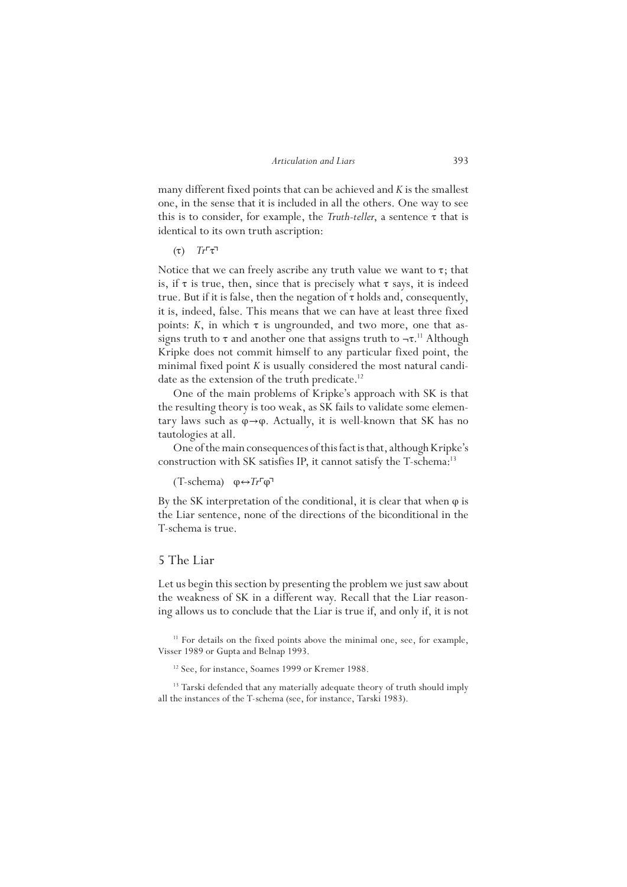many different fixed points that can be achieved and *K* is the smallest one, in the sense that it is included in all the others. One way to see this is to consider, for example, the *Truth-teller*, a sentence  $\tau$  that is identical to its own truth ascription:

 $(τ)$   $Tr<sup>Γ</sup>τ<sup>7</sup>$ 

Notice that we can freely ascribe any truth value we want to  $\tau$ ; that is, if  $\tau$  is true, then, since that is precisely what  $\tau$  says, it is indeed true. But if it is false, then the negation of  $\tau$  holds and, consequently, it is, indeed, false. This means that we can have at least three fixed points:  $K$ , in which  $\tau$  is ungrounded, and two more, one that assigns truth to  $\tau$  and another one that assigns truth to  $-\tau$ .<sup>11</sup> Although Kripke does not commit himself to any particular fixed point, the minimal fixed point *K* is usually considered the most natural candidate as the extension of the truth predicate.<sup>12</sup>

One of the main problems of Kripke's approach with SK is that the resulting theory is too weak, as SK fails to validate some elementary laws such as  $\varphi \rightarrow \varphi$ . Actually, it is well-known that SK has no tautologies at all.

One of the main consequences of this fact is that, although Kripke's construction with SK satisfies IP, it cannot satisfy the T-schema:13

(T-schema) φ↔*Tr*⌜φ⌝

By the SK interpretation of the conditional, it is clear that when φ is the Liar sentence, none of the directions of the biconditional in the T-schema is true.

# 5 The Liar

Let us begin this section by presenting the problem we just saw about the weakness of SK in a different way. Recall that the Liar reasoning allows us to conclude that the Liar is true if, and only if, it is not

<sup>11</sup> For details on the fixed points above the minimal one, see, for example, Visser 1989 or Gupta and Belnap 1993.

<sup>12</sup> See, for instance, Soames 1999 or Kremer 1988.

<sup>13</sup> Tarski defended that any materially adequate theory of truth should imply all the instances of the T-schema (see, for instance, Tarski 1983).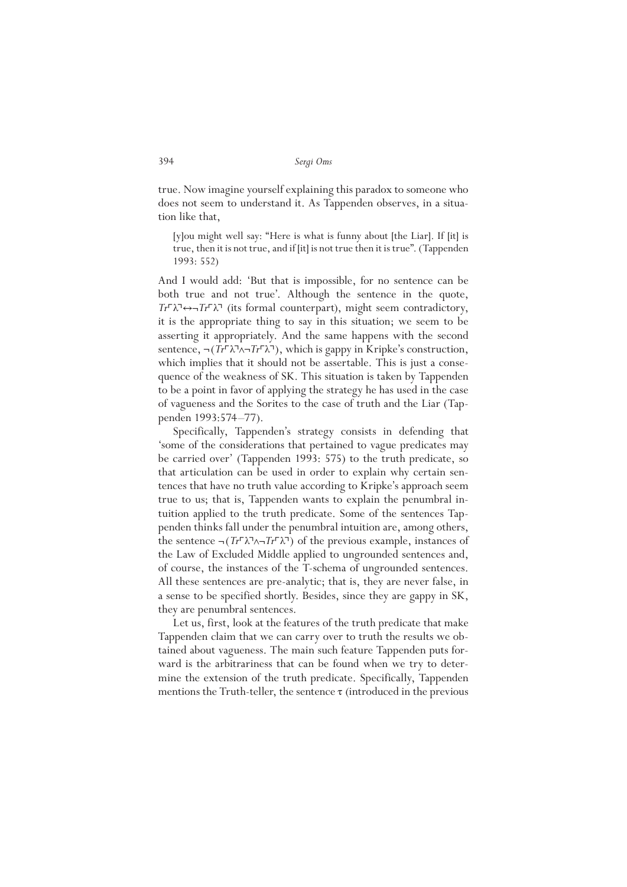true. Now imagine yourself explaining this paradox to someone who does not seem to understand it. As Tappenden observes, in a situation like that,

[y]ou might well say: "Here is what is funny about [the Liar]. If [it] is true, then it is not true, and if [it] is not true then it is true". (Tappenden 1993: 552)

And I would add: 'But that is impossible, for no sentence can be both true and not true'. Although the sentence in the quote, *Tr*⌜λ⌝↔¬*Tr*⌜λ⌝ (its formal counterpart), might seem contradictory, it is the appropriate thing to say in this situation; we seem to be asserting it appropriately. And the same happens with the second sentence, ¬(*Tr*Γλ¬λ¬*Tr*Γλ<sup>¬</sup>), which is gappy in Kripke's construction, which implies that it should not be assertable. This is just a consequence of the weakness of SK. This situation is taken by Tappenden to be a point in favor of applying the strategy he has used in the case of vagueness and the Sorites to the case of truth and the Liar (Tappenden 1993:574–77).

Specifically, Tappenden's strategy consists in defending that 'some of the considerations that pertained to vague predicates may be carried over' (Tappenden 1993: 575) to the truth predicate, so that articulation can be used in order to explain why certain sentences that have no truth value according to Kripke's approach seem true to us; that is, Tappenden wants to explain the penumbral intuition applied to the truth predicate. Some of the sentences Tappenden thinks fall under the penumbral intuition are, among others, the sentence  $\neg (Tr\lambda \lambda \neg Tr\lambda \neg \neg$  of the previous example, instances of the Law of Excluded Middle applied to ungrounded sentences and, of course, the instances of the T-schema of ungrounded sentences. All these sentences are pre-analytic; that is, they are never false, in a sense to be specified shortly. Besides, since they are gappy in SK, they are penumbral sentences.

Let us, first, look at the features of the truth predicate that make Tappenden claim that we can carry over to truth the results we obtained about vagueness. The main such feature Tappenden puts forward is the arbitrariness that can be found when we try to determine the extension of the truth predicate. Specifically, Tappenden mentions the Truth-teller, the sentence  $\tau$  (introduced in the previous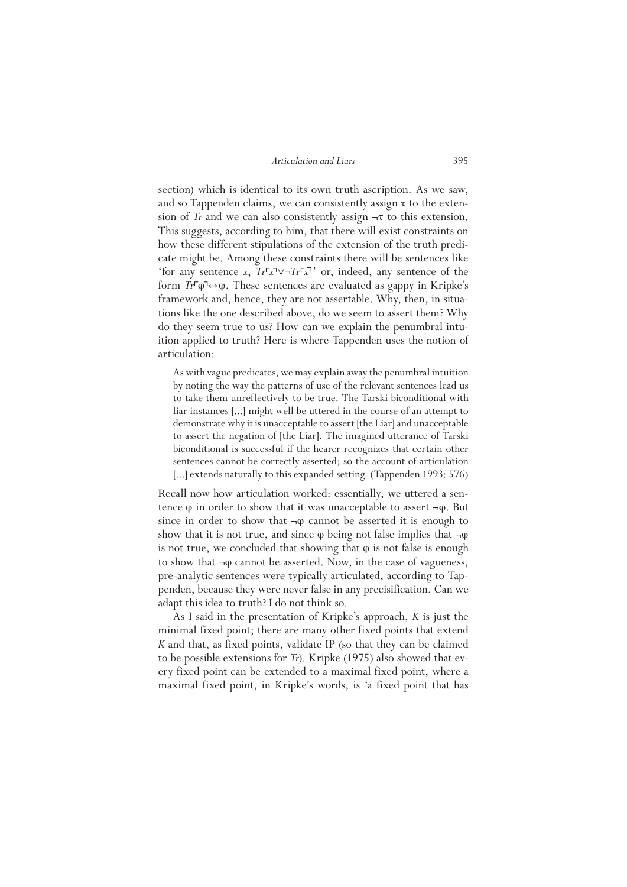section) which is identical to its own truth ascription. As we saw, and so Tappenden claims, we can consistently assign  $\tau$  to the extension of *Tr* and we can also consistently assign  $-\tau$  to this extension. This suggests, according to him, that there will exist constraints on how these different stipulations of the extension of the truth predicate might be. Among these constraints there will be sentences like 'for any sentence *x*, *Tr*⌜*x*⌝∨¬*Tr*⌜*x*⌝' or, indeed, any sentence of the form  $Tr\overline{\varphi}\rightarrow\varphi$ . These sentences are evaluated as gappy in Kripke's framework and, hence, they are not assertable. Why, then, in situations like the one described above, do we seem to assert them? Why do they seem true to us? How can we explain the penumbral intuition applied to truth? Here is where Tappenden uses the notion of articulation:

As with vague predicates, we may explain away the penumbral intuition by noting the way the patterns of use of the relevant sentences lead us to take them unreflectively to be true. The Tarski biconditional with liar instances [...] might well be uttered in the course of an attempt to demonstrate why it is unacceptable to assert [the Liar] and unacceptable to assert the negation of [the Liar]. The imagined utterance of Tarski biconditional is successful if the hearer recognizes that certain other sentences cannot be correctly asserted; so the account of articulation [...] extends naturally to this expanded setting. (Tappenden 1993: 576)

Recall now how articulation worked: essentially, we uttered a sentence  $\varphi$  in order to show that it was unacceptable to assert  $\neg \varphi$ . But since in order to show that  $\neg \varphi$  cannot be asserted it is enough to show that it is not true, and since  $\varphi$  being not false implies that  $\neg \varphi$ is not true, we concluded that showing that  $\varphi$  is not false is enough to show that ¬φ cannot be asserted. Now, in the case of vagueness, pre-analytic sentences were typically articulated, according to Tappenden, because they were never false in any precisification. Can we adapt this idea to truth? I do not think so.

As I said in the presentation of Kripke's approach, *K* is just the minimal fixed point; there are many other fixed points that extend *K* and that, as fixed points, validate IP (so that they can be claimed to be possible extensions for *Tr*). Kripke (1975) also showed that every fixed point can be extended to a maximal fixed point, where a maximal fixed point, in Kripke's words, is 'a fixed point that has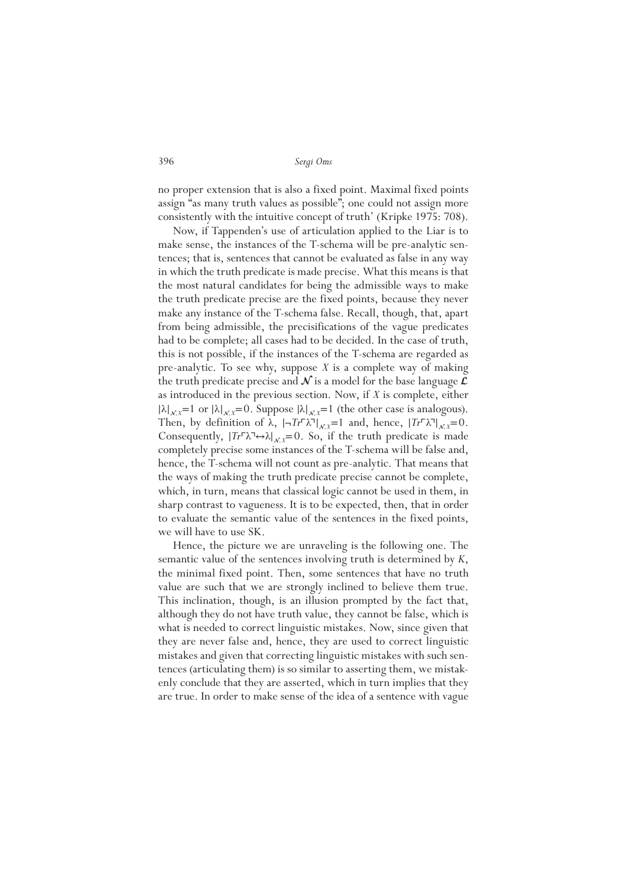no proper extension that is also a fixed point. Maximal fixed points assign "as many truth values as possible"; one could not assign more consistently with the intuitive concept of truth' (Kripke 1975: 708).

Now, if Tappenden's use of articulation applied to the Liar is to make sense, the instances of the T-schema will be pre-analytic sentences; that is, sentences that cannot be evaluated as false in any way in which the truth predicate is made precise. What this means is that the most natural candidates for being the admissible ways to make the truth predicate precise are the fixed points, because they never make any instance of the T-schema false. Recall, though, that, apart from being admissible, the precisifications of the vague predicates had to be complete; all cases had to be decided. In the case of truth, this is not possible, if the instances of the T-schema are regarded as pre-analytic. To see why, suppose *X* is a complete way of making the truth predicate precise and  $\mathcal N$  is a model for the base language  $\mathcal L$ as introduced in the previous section. Now, if *X* is complete, either  $|\lambda|_{N}$ <sup> $X=1$ </sup> or  $|\lambda|_{N}$ <sup> $Y=0$ </sup>. Suppose  $|\lambda|_{N}$ <sup> $Y=1$ </sup> (the other case is analogous). Then, by definition of  $\lambda$ ,  $|\neg Tr \ulcorner \lambda \urcorner|_{\mathcal{N}^X} = 1$  and, hence,  $|Tr \ulcorner \lambda \urcorner|_{\mathcal{N}^X} = 0$ . Consequently,  $|Tr\Gamma\lambda\rightarrow\lambda|_{x,x}=0$ . So, if the truth predicate is made completely precise some instances of the T-schema will be false and, hence, the T-schema will not count as pre-analytic. That means that the ways of making the truth predicate precise cannot be complete, which, in turn, means that classical logic cannot be used in them, in sharp contrast to vagueness. It is to be expected, then, that in order to evaluate the semantic value of the sentences in the fixed points, we will have to use SK.

Hence, the picture we are unraveling is the following one. The semantic value of the sentences involving truth is determined by *K*, the minimal fixed point. Then, some sentences that have no truth value are such that we are strongly inclined to believe them true. This inclination, though, is an illusion prompted by the fact that, although they do not have truth value, they cannot be false, which is what is needed to correct linguistic mistakes. Now, since given that they are never false and, hence, they are used to correct linguistic mistakes and given that correcting linguistic mistakes with such sentences (articulating them) is so similar to asserting them, we mistakenly conclude that they are asserted, which in turn implies that they are true. In order to make sense of the idea of a sentence with vague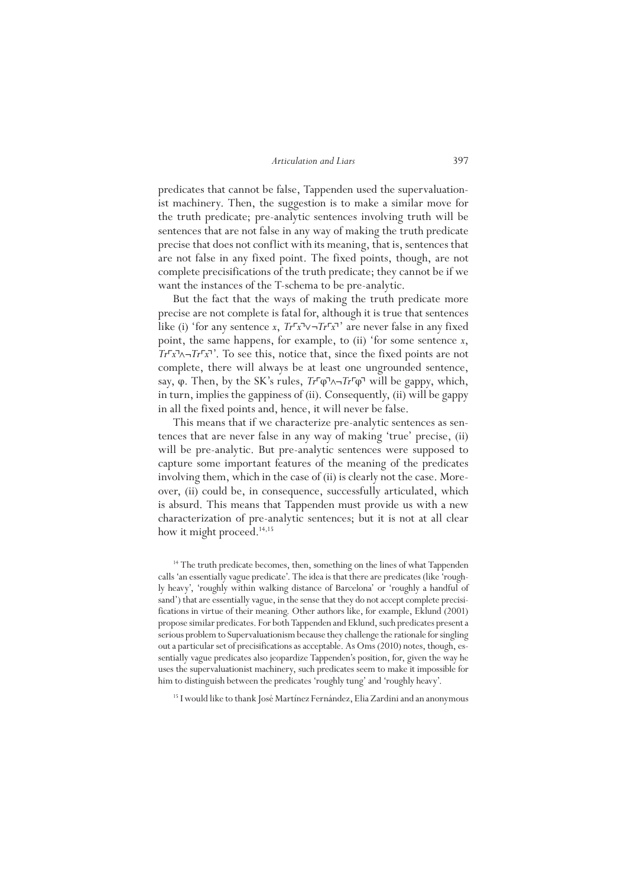predicates that cannot be false, Tappenden used the supervaluationist machinery. Then, the suggestion is to make a similar move for the truth predicate; pre-analytic sentences involving truth will be sentences that are not false in any way of making the truth predicate precise that does not conflict with its meaning, that is, sentences that are not false in any fixed point. The fixed points, though, are not complete precisifications of the truth predicate; they cannot be if we want the instances of the T-schema to be pre-analytic.

But the fact that the ways of making the truth predicate more precise are not complete is fatal for, although it is true that sentences like (i) 'for any sentence *x*,  $Tr\Gamma x \rightarrow Tr\Gamma x$ <sup> $\rightarrow$ </sup> are never false in any fixed point, the same happens, for example, to (ii) 'for some sentence *x*, *Tr*⌜*x*⌝∧¬*Tr*⌜*x*⌝'. To see this, notice that, since the fixed points are not complete, there will always be at least one ungrounded sentence, say, φ. Then, by the SK's rules, *Tr*Γφ<u>λ</u>¬*Tr*<sup>Γ</sup>φ<sup>¬</sup> will be gappy, which, in turn, implies the gappiness of (ii). Consequently, (ii) will be gappy in all the fixed points and, hence, it will never be false.

This means that if we characterize pre-analytic sentences as sentences that are never false in any way of making 'true' precise, (ii) will be pre-analytic. But pre-analytic sentences were supposed to capture some important features of the meaning of the predicates involving them, which in the case of (ii) is clearly not the case. Moreover, (ii) could be, in consequence, successfully articulated, which is absurd. This means that Tappenden must provide us with a new characterization of pre-analytic sentences; but it is not at all clear how it might proceed.<sup>14,15</sup>

<sup>14</sup> The truth predicate becomes, then, something on the lines of what Tappenden calls 'an essentially vague predicate'. The idea is that there are predicates (like 'roughly heavy', 'roughly within walking distance of Barcelona' or 'roughly a handful of sand') that are essentially vague, in the sense that they do not accept complete precisifications in virtue of their meaning. Other authors like, for example, Eklund (2001) propose similar predicates. For both Tappenden and Eklund, such predicates present a serious problem to Supervaluationism because they challenge the rationale for singling out a particular set of precisifications as acceptable. As Oms (2010) notes, though, essentially vague predicates also jeopardize Tappenden's position, for, given the way he uses the supervaluationist machinery, such predicates seem to make it impossible for him to distinguish between the predicates 'roughly tung' and 'roughly heavy'.

<sup>15</sup> I would like to thank José Martínez Fernández, Elia Zardini and an anonymous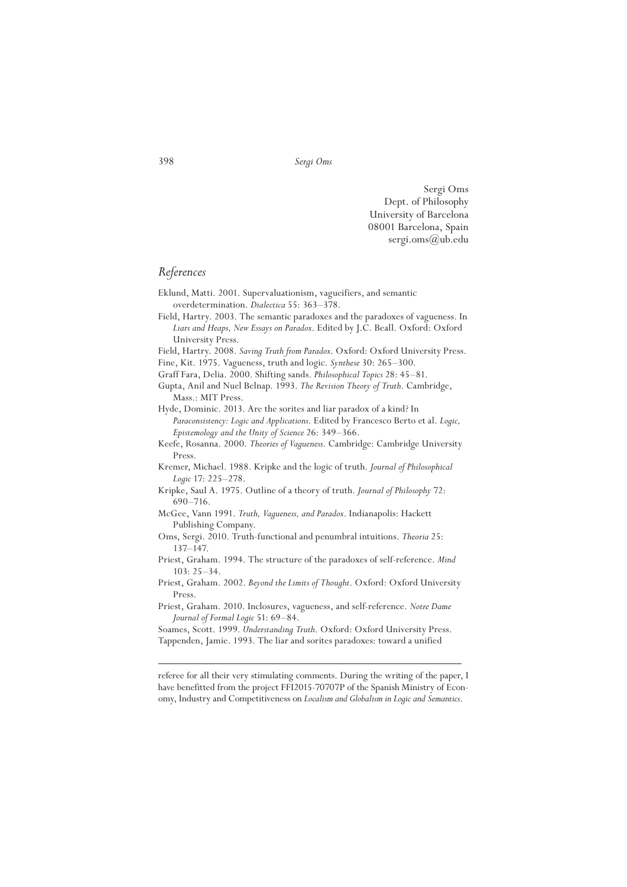Sergi Oms Dept. of Philosophy University of Barcelona 08001 Barcelona, Spain sergi.oms@ub.edu

# *References*

- Eklund, Matti. 2001. Supervaluationism, vagueifiers, and semantic overdetermination. *Dialectica* 55: 363–378.
- Field, Hartry. 2003. The semantic paradoxes and the paradoxes of vagueness. In *Liars and Heaps, New Essays on Paradox*. Edited by J.C. Beall. Oxford: Oxford University Press.
- Field, Hartry. 2008. *Saving Truth from Paradox*. Oxford: Oxford University Press.
- Fine, Kit. 1975. Vagueness, truth and logic. *Synthese* 30: 265–300.
- Graff Fara, Delia. 2000. Shifting sands. *Philosophical Topics* 28: 45–81. Gupta, Anil and Nuel Belnap. 1993. *The Revision Theory of Truth*. Cambridge,

Mass.: MIT Press.

Hyde, Dominic. 2013. Are the sorites and liar paradox of a kind? In *Paraconsistency: Logic and Applications*. Edited by Francesco Berto et al. *Logic, Epistemology and the Unity of Science* 26: 349–366.

Keefe, Rosanna. 2000. *Theories of Vagueness*. Cambridge: Cambridge University Press.

- Kremer, Michael. 1988. Kripke and the logic of truth. *Journal of Philosophical Logic* 17: 225–278.
- Kripke, Saul A. 1975. Outline of a theory of truth. *Journal of Philosophy* 72: 690–716.
- McGee, Vann 1991. *Truth, Vagueness, and Paradox*. Indianapolis: Hackett Publishing Company.
- Oms, Sergi. 2010. Truth-functional and penumbral intuitions. *Theoria* 25: 137–147.
- Priest, Graham. 1994. The structure of the paradoxes of self-reference. *Mind* 103: 25–34.
- Priest, Graham. 2002. *Beyond the Limits of Thought*. Oxford: Oxford University Press.
- Priest, Graham. 2010. Inclosures, vagueness, and self-reference. *Notre Dame Journal of Formal Logic* 51: 69–84.

Soames, Scott. 1999. *Understanding Truth*. Oxford: Oxford University Press. Tappenden, Jamie. 1993. The liar and sorites paradoxes: toward a unified

referee for all their very stimulating comments. During the writing of the paper, I have benefitted from the project FFI2015-70707P of the Spanish Ministry of Economy, Industry and Competitiveness on *Localism and Globalism in Logic and Semantics*.